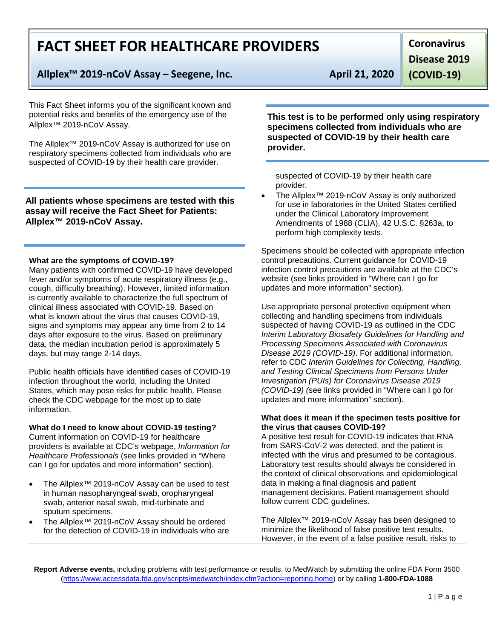# **FACT SHEET FOR HEALTHCARE PROVIDERS**

# **Allplex™ 2019-nCoV Assay – Seegene, Inc. April 21, 2020**

This Fact Sheet informs you of the significant known and potential risks and benefits of the emergency use of the Allplex™ 2019-nCoV Assay.

The Allplex™ 2019-nCoV Assay is authorized for use on respiratory specimens collected from individuals who are suspected of COVID-19 by their health care provider.

## **All patients whose specimens are tested with this assay will receive the Fact Sheet for Patients: Allplex™ 2019-nCoV Assay.**

#### **What are the symptoms of COVID-19?**

Many patients with confirmed COVID-19 have developed fever and/or symptoms of acute respiratory illness (e.g., cough, difficulty breathing). However, limited information is currently available to characterize the full spectrum of clinical illness associated with COVID-19. Based on what is known about the virus that causes COVID-19, signs and symptoms may appear any time from 2 to 14 days after exposure to the virus. Based on preliminary data, the median incubation period is approximately 5 days, but may range 2-14 days.

Public health officials have identified cases of COVID-19 infection throughout the world, including the United States, which may pose risks for public health. Please check the CDC webpage for the most up to date information.

## **What do I need to know about COVID-19 testing?**

Current information on COVID-19 for healthcare providers is available at CDC's webpage, *Information for Healthcare Professionals* (see links provided in "Where can I go for updates and more information" section).

- The Allplex<sup>™</sup> 2019-nCoV Assay can be used to test in human nasopharyngeal swab, oropharyngeal swab, anterior nasal swab, mid-turbinate and sputum specimens.
- The Allplex™ 2019-nCoV Assay should be ordered for the detection of COVID-19 in individuals who are

**Disease 2019** 

**(COVID-19)**

**Coronavirus** 

**This test is to be performed only using respiratory specimens collected from individuals who are suspected of COVID-19 by their health care provider.** 

suspected of COVID-19 by their health care provider.

• The Allplex™ 2019-nCoV Assay is only authorized for use in laboratories in the United States certified under the Clinical Laboratory Improvement Amendments of 1988 (CLIA), 42 U.S.C. §263a, to perform high complexity tests.

Specimens should be collected with appropriate infection control precautions. Current guidance for COVID-19 infection control precautions are available at the CDC's website (see links provided in "Where can I go for updates and more information" section).

Use appropriate personal protective equipment when collecting and handling specimens from individuals suspected of having COVID-19 as outlined in the CDC *Interim Laboratory Biosafety Guidelines for Handling and Processing Specimens Associated with Coronavirus Disease 2019 (COVID-19)*. For additional information, refer to CDC *Interim Guidelines for Collecting, Handling, and Testing Clinical Specimens from Persons Under Investigation (PUIs) for Coronavirus Disease 2019 (COVID-19) (*see links provided in "Where can I go for updates and more information" section).

#### **What does it mean if the specimen tests positive for the virus that causes COVID-19?**

A positive test result for COVID-19 indicates that RNA from SARS-CoV-2 was detected, and the patient is infected with the virus and presumed to be contagious. Laboratory test results should always be considered in the context of clinical observations and epidemiological data in making a final diagnosis and patient management decisions. Patient management should follow current CDC guidelines.

The Allplex™ 2019-nCoV Assay has been designed to minimize the likelihood of false positive test results. However, in the event of a false positive result, risks to

**Report Adverse events,** including problems with test performance or results, to MedWatch by submitting the online FDA Form 3500 [\(https://www.accessdata.fda.gov/scripts/medwatch/index.cfm?action=reporting.home\)](https://www.accessdata.fda.gov/scripts/medwatch/index.cfm?action=reporting.home) or by calling **1-800-FDA-1088**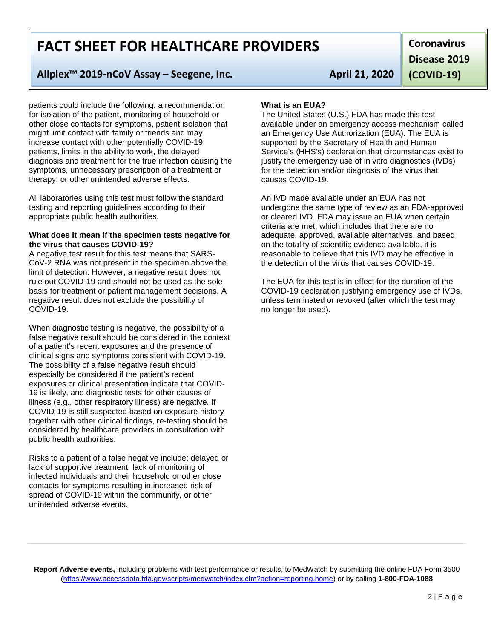# **FACT SHEET FOR HEALTHCARE PROVIDERS**

## **Allplex™ 2019-nCoV Assay – Seegene, Inc. April 21, 2020**

patients could include the following: a recommendation for isolation of the patient, monitoring of household or other close contacts for symptoms, patient isolation that might limit contact with family or friends and may increase contact with other potentially COVID-19 patients, limits in the ability to work, the delayed diagnosis and treatment for the true infection causing the symptoms, unnecessary prescription of a treatment or therapy, or other unintended adverse effects.

All laboratories using this test must follow the standard testing and reporting guidelines according to their appropriate public health authorities.

#### **What does it mean if the specimen tests negative for the virus that causes COVID-19?**

A negative test result for this test means that SARS-CoV-2 RNA was not present in the specimen above the limit of detection. However, a negative result does not rule out COVID-19 and should not be used as the sole basis for treatment or patient management decisions. A negative result does not exclude the possibility of COVID-19.

When diagnostic testing is negative, the possibility of a false negative result should be considered in the context of a patient's recent exposures and the presence of clinical signs and symptoms consistent with COVID-19. The possibility of a false negative result should especially be considered if the patient's recent exposures or clinical presentation indicate that COVID-19 is likely, and diagnostic tests for other causes of illness (e.g., other respiratory illness) are negative. If COVID-19 is still suspected based on exposure history together with other clinical findings, re-testing should be considered by healthcare providers in consultation with public health authorities.

Risks to a patient of a false negative include: delayed or lack of supportive treatment, lack of monitoring of infected individuals and their household or other close contacts for symptoms resulting in increased risk of spread of COVID-19 within the community, or other unintended adverse events.

**Coronavirus Disease 2019** 

**(COVID-19)**

#### **What is an EUA?**

The United States (U.S.) FDA has made this test available under an emergency access mechanism called an Emergency Use Authorization (EUA). The EUA is supported by the Secretary of Health and Human Service's (HHS's) declaration that circumstances exist to justify the emergency use of in vitro diagnostics (IVDs) for the detection and/or diagnosis of the virus that causes COVID-19.

An IVD made available under an EUA has not undergone the same type of review as an FDA-approved or cleared IVD. FDA may issue an EUA when certain criteria are met, which includes that there are no adequate, approved, available alternatives, and based on the totality of scientific evidence available, it is reasonable to believe that this IVD may be effective in the detection of the virus that causes COVID-19.

The EUA for this test is in effect for the duration of the COVID-19 declaration justifying emergency use of IVDs, unless terminated or revoked (after which the test may no longer be used).

**Report Adverse events,** including problems with test performance or results, to MedWatch by submitting the online FDA Form 3500 [\(https://www.accessdata.fda.gov/scripts/medwatch/index.cfm?action=reporting.home\)](https://www.accessdata.fda.gov/scripts/medwatch/index.cfm?action=reporting.home) or by calling **1-800-FDA-1088**